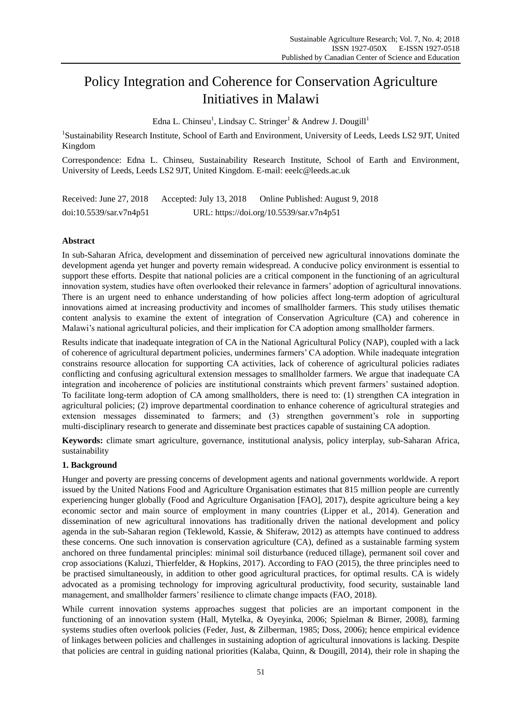# Policy Integration and Coherence for Conservation Agriculture Initiatives in Malawi

Edna L. Chinseu<sup>1</sup>, Lindsay C. Stringer<sup>1</sup> & Andrew J. Dougill<sup>1</sup>

<sup>1</sup>Sustainability Research Institute, School of Earth and Environment, University of Leeds, Leeds LS2 9JT, United Kingdom

Correspondence: Edna L. Chinseu, Sustainability Research Institute, School of Earth and Environment, University of Leeds, Leeds LS2 9JT, United Kingdom. E-mail: eeelc@leeds.ac.uk

| Received: June 27, 2018 | Accepted: July 13, 2018 | Online Published: August 9, 2018         |
|-------------------------|-------------------------|------------------------------------------|
| doi:10.5539/sar.v7n4p51 |                         | URL: https://doi.org/10.5539/sar.v7n4p51 |

# **Abstract**

In sub-Saharan Africa, development and dissemination of perceived new agricultural innovations dominate the development agenda yet hunger and poverty remain widespread. A conducive policy environment is essential to support these efforts. Despite that national policies are a critical component in the functioning of an agricultural innovation system, studies have often overlooked their relevance in farmers" adoption of agricultural innovations. There is an urgent need to enhance understanding of how policies affect long-term adoption of agricultural innovations aimed at increasing productivity and incomes of smallholder farmers. This study utilises thematic content analysis to examine the extent of integration of Conservation Agriculture (CA) and coherence in Malawi"s national agricultural policies, and their implication for CA adoption among smallholder farmers.

Results indicate that inadequate integration of CA in the National Agricultural Policy (NAP), coupled with a lack of coherence of agricultural department policies, undermines farmers" CA adoption. While inadequate integration constrains resource allocation for supporting CA activities, lack of coherence of agricultural policies radiates conflicting and confusing agricultural extension messages to smallholder farmers. We argue that inadequate CA integration and incoherence of policies are institutional constraints which prevent farmers" sustained adoption. To facilitate long-term adoption of CA among smallholders, there is need to: (1) strengthen CA integration in agricultural policies; (2) improve departmental coordination to enhance coherence of agricultural strategies and extension messages disseminated to farmers; and (3) strengthen government's role in supporting multi-disciplinary research to generate and disseminate best practices capable of sustaining CA adoption.

**Keywords:** climate smart agriculture, governance, institutional analysis, policy interplay, sub-Saharan Africa, sustainability

# **1. Background**

Hunger and poverty are pressing concerns of development agents and national governments worldwide. A report issued by the United Nations Food and Agriculture Organisation estimates that 815 million people are currently experiencing hunger globally (Food and Agriculture Organisation [FAO], 2017), despite agriculture being a key economic sector and main source of employment in many countries (Lipper et al., 2014). Generation and dissemination of new agricultural innovations has traditionally driven the national development and policy agenda in the sub-Saharan region (Teklewold, Kassie, & Shiferaw, 2012) as attempts have continued to address these concerns. One such innovation is conservation agriculture (CA), defined as a sustainable farming system anchored on three fundamental principles: minimal soil disturbance (reduced tillage), permanent soil cover and crop associations (Kaluzi, Thierfelder, & Hopkins, 2017). According to FAO (2015), the three principles need to be practised simultaneously, in addition to other good agricultural practices, for optimal results. CA is widely advocated as a promising technology for improving agricultural productivity, food security, sustainable land management, and smallholder farmers' resilience to climate change impacts (FAO, 2018).

While current innovation systems approaches suggest that policies are an important component in the functioning of an innovation system (Hall, Mytelka, & Oyeyinka, 2006; Spielman & Birner, 2008), farming systems studies often overlook policies (Feder, Just, & Zilberman, 1985; Doss, 2006); hence empirical evidence of linkages between policies and challenges in sustaining adoption of agricultural innovations is lacking. Despite that policies are central in guiding national priorities (Kalaba, Quinn, & Dougill, 2014), their role in shaping the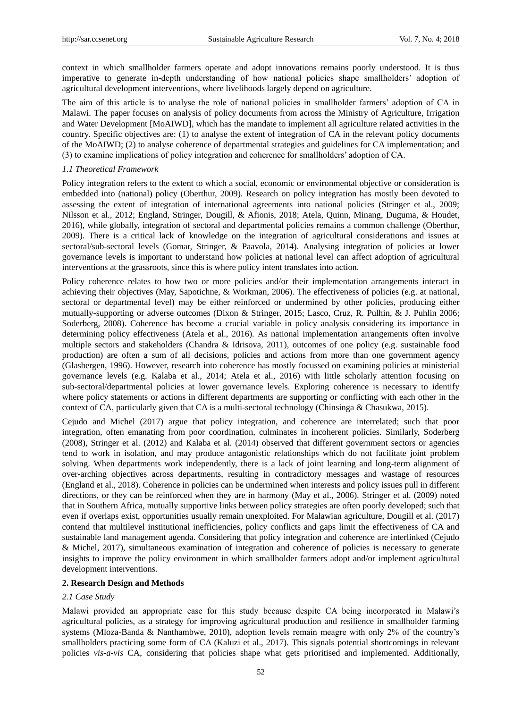context in which smallholder farmers operate and adopt innovations remains poorly understood. It is thus imperative to generate in-depth understanding of how national policies shape smallholders" adoption of agricultural development interventions, where livelihoods largely depend on agriculture.

The aim of this article is to analyse the role of national policies in smallholder farmers" adoption of CA in Malawi. The paper focuses on analysis of policy documents from across the Ministry of Agriculture, Irrigation and Water Development [MoAIWD], which has the mandate to implement all agriculture related activities in the country. Specific objectives are: (1) to analyse the extent of integration of CA in the relevant policy documents of the MoAIWD; (2) to analyse coherence of departmental strategies and guidelines for CA implementation; and (3) to examine implications of policy integration and coherence for smallholders" adoption of CA.

### *1.1 Theoretical Framework*

Policy integration refers to the extent to which a social, economic or environmental objective or consideration is embedded into (national) policy (Oberthur, 2009). Research on policy integration has mostly been devoted to assessing the extent of integration of international agreements into national policies (Stringer et al., 2009; Nilsson et al., 2012; England, Stringer, Dougill, & Afionis, 2018; Atela, Quinn, Minang, Duguma, & Houdet, 2016), while globally, integration of sectoral and departmental policies remains a common challenge (Oberthur, 2009). There is a critical lack of knowledge on the integration of agricultural considerations and issues at sectoral/sub-sectoral levels (Gomar, Stringer, & Paavola, 2014). Analysing integration of policies at lower governance levels is important to understand how policies at national level can affect adoption of agricultural interventions at the grassroots, since this is where policy intent translates into action.

Policy coherence relates to how two or more policies and/or their implementation arrangements interact in achieving their objectives (May, Sapotichne, & Workman, 2006). The effectiveness of policies (e.g. at national, sectoral or departmental level) may be either reinforced or undermined by other policies, producing either mutually-supporting or adverse outcomes (Dixon & Stringer, 2015; Lasco, Cruz, R. Pulhin, & J. Puhlin 2006; Soderberg, 2008). Coherence has become a crucial variable in policy analysis considering its importance in determining policy effectiveness (Atela et al., 2016). As national implementation arrangements often involve multiple sectors and stakeholders (Chandra & Idrisova, 2011), outcomes of one policy (e.g. sustainable food production) are often a sum of all decisions, policies and actions from more than one government agency (Glasbergen, 1996). However, research into coherence has mostly focussed on examining policies at ministerial governance levels (e.g. Kalaba et al., 2014; Atela et al., 2016) with little scholarly attention focusing on sub-sectoral/departmental policies at lower governance levels. Exploring coherence is necessary to identify where policy statements or actions in different departments are supporting or conflicting with each other in the context of CA, particularly given that CA is a multi-sectoral technology (Chinsinga & Chasukwa, 2015).

Cejudo and Michel (2017) argue that policy integration, and coherence are interrelated; such that poor integration, often emanating from poor coordination, culminates in incoherent policies. Similarly, Soderberg (2008), Stringer et al. (2012) and Kalaba et al. (2014) observed that different government sectors or agencies tend to work in isolation, and may produce antagonistic relationships which do not facilitate joint problem solving. When departments work independently, there is a lack of joint learning and long-term alignment of over-arching objectives across departments, resulting in contradictory messages and wastage of resources (England et al., 2018). Coherence in policies can be undermined when interests and policy issues pull in different directions, or they can be reinforced when they are in harmony (May et al., 2006). Stringer et al. (2009) noted that in Southern Africa, mutually supportive links between policy strategies are often poorly developed; such that even if overlaps exist, opportunities usually remain unexploited. For Malawian agriculture, Dougill et al. (2017) contend that multilevel institutional inefficiencies, policy conflicts and gaps limit the effectiveness of CA and sustainable land management agenda. Considering that policy integration and coherence are interlinked (Cejudo & Michel, 2017), simultaneous examination of integration and coherence of policies is necessary to generate insights to improve the policy environment in which smallholder farmers adopt and/or implement agricultural development interventions.

#### **2. Research Design and Methods**

# *2.1 Case Study*

Malawi provided an appropriate case for this study because despite CA being incorporated in Malawi's agricultural policies, as a strategy for improving agricultural production and resilience in smallholder farming systems (Mloza-Banda & Nanthambwe, 2010), adoption levels remain meagre with only 2% of the country"s smallholders practicing some form of CA (Kaluzi et al., 2017). This signals potential shortcomings in relevant policies *vis-a-vis* CA, considering that policies shape what gets prioritised and implemented. Additionally,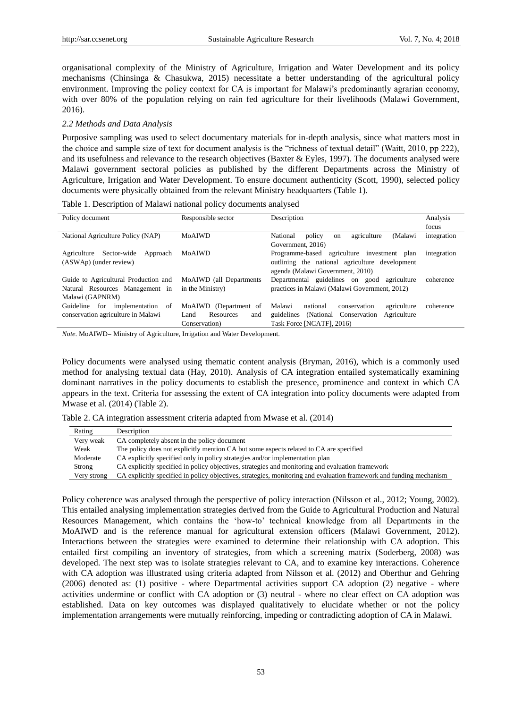organisational complexity of the Ministry of Agriculture, Irrigation and Water Development and its policy mechanisms (Chinsinga & Chasukwa, 2015) necessitate a better understanding of the agricultural policy environment. Improving the policy context for CA is important for Malawi's predominantly agrarian economy, with over 80% of the population relying on rain fed agriculture for their livelihoods (Malawi Government, 2016).

#### *2.2 Methods and Data Analysis*

Purposive sampling was used to select documentary materials for in-depth analysis, since what matters most in the choice and sample size of text for document analysis is the "richness of textual detail" (Waitt, 2010, pp 222), and its usefulness and relevance to the research objectives (Baxter & Eyles, 1997). The documents analysed were Malawi government sectoral policies as published by the different Departments across the Ministry of Agriculture, Irrigation and Water Development. To ensure document authenticity (Scott, 1990), selected policy documents were physically obtained from the relevant Ministry headquarters (Table 1).

|  |  | Table 1. Description of Malawi national policy documents analysed |
|--|--|-------------------------------------------------------------------|
|  |  |                                                                   |

| Policy document                                                 | Responsible sector       | Description                                                   | Analysis    |
|-----------------------------------------------------------------|--------------------------|---------------------------------------------------------------|-------------|
|                                                                 |                          |                                                               | focus       |
| National Agriculture Policy (NAP)                               | <b>MoAIWD</b>            | agriculture<br>(Malawi<br>National<br>policy<br><sub>on</sub> | integration |
|                                                                 |                          | Government, 2016)                                             |             |
| Agriculture<br>Sector-wide<br>Approach                          | MoAIWD                   | Programme-based agriculture investment plan                   | integration |
| (ASWAp) (under review)                                          |                          | outlining the national agriculture development                |             |
|                                                                 |                          | agenda (Malawi Government, 2010)                              |             |
| Guide to Agricultural Production and<br>MoAIWD (all Departments |                          | Departmental guidelines on good agriculture                   | coherence   |
| Natural Resources Management in                                 | in the Ministry)         | practices in Malawi (Malawi Government, 2012)                 |             |
| Malawi (GAPNRM)                                                 |                          |                                                               |             |
| for<br>Guideline<br>implementation of                           | MoAIWD (Department of    | Malawi<br>national<br>conservation<br>agriculture             | coherence   |
| conservation agriculture in Malawi                              | Resources<br>and<br>Land | (National Conservation)<br>guidelines<br>Agriculture          |             |
|                                                                 | Conservation)            | Task Force [NCATF], 2016)                                     |             |

*Note*. MoAIWD= Ministry of Agriculture, Irrigation and Water Development.

Policy documents were analysed using thematic content analysis (Bryman, 2016), which is a commonly used method for analysing textual data (Hay, 2010). Analysis of CA integration entailed systematically examining dominant narratives in the policy documents to establish the presence, prominence and context in which CA appears in the text. Criteria for assessing the extent of CA integration into policy documents were adapted from Mwase et al. (2014) (Table 2).

Table 2. CA integration assessment criteria adapted from Mwase et al. (2014)

| Rating      | Description                                                                                                         |
|-------------|---------------------------------------------------------------------------------------------------------------------|
| Very weak   | CA completely absent in the policy document                                                                         |
| Weak        | The policy does not explicitly mention CA but some aspects related to CA are specified                              |
| Moderate    | CA explicitly specified only in policy strategies and/or implementation plan                                        |
| Strong      | CA explicitly specified in policy objectives, strategies and monitoring and evaluation framework                    |
| Very strong | CA explicitly specified in policy objectives, strategies, monitoring and evaluation framework and funding mechanism |

Policy coherence was analysed through the perspective of policy interaction (Nilsson et al., 2012; Young, 2002). This entailed analysing implementation strategies derived from the Guide to Agricultural Production and Natural Resources Management, which contains the "how-to" technical knowledge from all Departments in the MoAIWD and is the reference manual for agricultural extension officers (Malawi Government, 2012). Interactions between the strategies were examined to determine their relationship with CA adoption. This entailed first compiling an inventory of strategies, from which a screening matrix (Soderberg, 2008) was developed. The next step was to isolate strategies relevant to CA, and to examine key interactions. Coherence with CA adoption was illustrated using criteria adapted from Nilsson et al. (2012) and Oberthur and Gehring (2006) denoted as: (1) positive - where Departmental activities support CA adoption (2) negative - where activities undermine or conflict with CA adoption or (3) neutral - where no clear effect on CA adoption was established. Data on key outcomes was displayed qualitatively to elucidate whether or not the policy implementation arrangements were mutually reinforcing, impeding or contradicting adoption of CA in Malawi.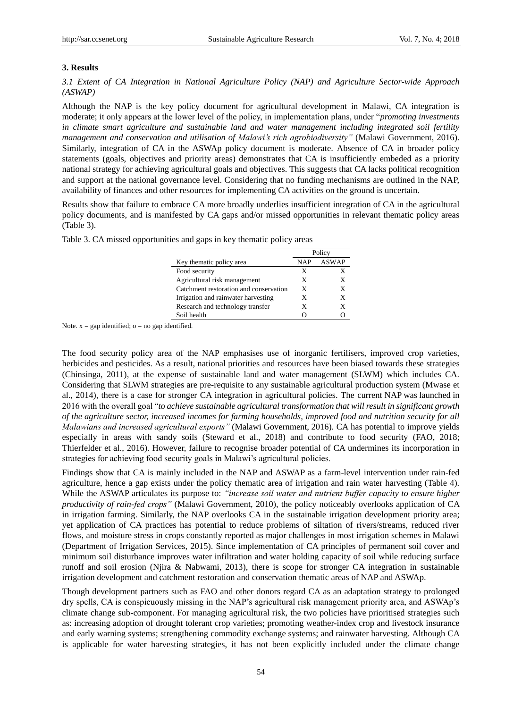# **3. Results**

*3.1 Extent of CA Integration in National Agriculture Policy (NAP) and Agriculture Sector-wide Approach (ASWAP)*

Although the NAP is the key policy document for agricultural development in Malawi, CA integration is moderate; it only appears at the lower level of the policy, in implementation plans, under "*promoting investments in climate smart agriculture and sustainable land and water management including integrated soil fertility management and conservation and utilisation of Malawi's rich agrobiodiversity"* (Malawi Government, 2016). Similarly, integration of CA in the ASWAp policy document is moderate. Absence of CA in broader policy statements (goals, objectives and priority areas) demonstrates that CA is insufficiently embeded as a priority national strategy for achieving agricultural goals and objectives. This suggests that CA lacks political recognition and support at the national governance level. Considering that no funding mechanisms are outlined in the NAP, availability of finances and other resources for implementing CA activities on the ground is uncertain.

Results show that failure to embrace CA more broadly underlies insufficient integration of CA in the agricultural policy documents, and is manifested by CA gaps and/or missed opportunities in relevant thematic policy areas (Table 3).

|                                        | Policy |              |
|----------------------------------------|--------|--------------|
| Key thematic policy area               | NAP    | <b>ASWAP</b> |
| Food security                          | X      | x            |
| Agricultural risk management           | X      | X            |
| Catchment restoration and conservation | X      | X            |
| Irrigation and rainwater harvesting    | X      | x            |
| Research and technology transfer       | X      | X            |
| Soil health                            |        |              |

Table 3. CA missed opportunities and gaps in key thematic policy areas

Note.  $x = gap$  identified;  $o = no gap$  identified.

The food security policy area of the NAP emphasises use of inorganic fertilisers, improved crop varieties, herbicides and pesticides. As a result, national priorities and resources have been biased towards these strategies (Chinsinga, 2011), at the expense of sustainable land and water management (SLWM) which includes CA. Considering that SLWM strategies are pre-requisite to any sustainable agricultural production system (Mwase et al., 2014), there is a case for stronger CA integration in agricultural policies. The current NAP was launched in 2016 with the overall goal "*to achieve sustainable agricultural transformation that will result in significant growth of the agriculture sector, increased incomes for farming households, improved food and nutrition security for all Malawians and increased agricultural exports"* (Malawi Government, 2016). CA has potential to improve yields especially in areas with sandy soils (Steward et al., 2018) and contribute to food security (FAO, 2018; Thierfelder et al., 2016). However, failure to recognise broader potential of CA undermines its incorporation in strategies for achieving food security goals in Malawi's agricultural policies.

Findings show that CA is mainly included in the NAP and ASWAP as a farm-level intervention under rain-fed agriculture, hence a gap exists under the policy thematic area of irrigation and rain water harvesting (Table 4). While the ASWAP articulates its purpose to: *"increase soil water and nutrient buffer capacity to ensure higher productivity of rain-fed crops"* (Malawi Government, 2010), the policy noticeably overlooks application of CA in irrigation farming. Similarly, the NAP overlooks CA in the sustainable irrigation development priority area; yet application of CA practices has potential to reduce problems of siltation of rivers/streams, reduced river flows, and moisture stress in crops constantly reported as major challenges in most irrigation schemes in Malawi (Department of Irrigation Services, 2015). Since implementation of CA principles of permanent soil cover and minimum soil disturbance improves water infiltration and water holding capacity of soil while reducing surface runoff and soil erosion (Njira & Nabwami, 2013), there is scope for stronger CA integration in sustainable irrigation development and catchment restoration and conservation thematic areas of NAP and ASWAp.

Though development partners such as FAO and other donors regard CA as an adaptation strategy to prolonged dry spells, CA is conspicuously missing in the NAP's agricultural risk management priority area, and ASWAp's climate change sub-component. For managing agricultural risk, the two policies have prioritised strategies such as: increasing adoption of drought tolerant crop varieties; promoting weather-index crop and livestock insurance and early warning systems; strengthening commodity exchange systems; and rainwater harvesting. Although CA is applicable for water harvesting strategies, it has not been explicitly included under the climate change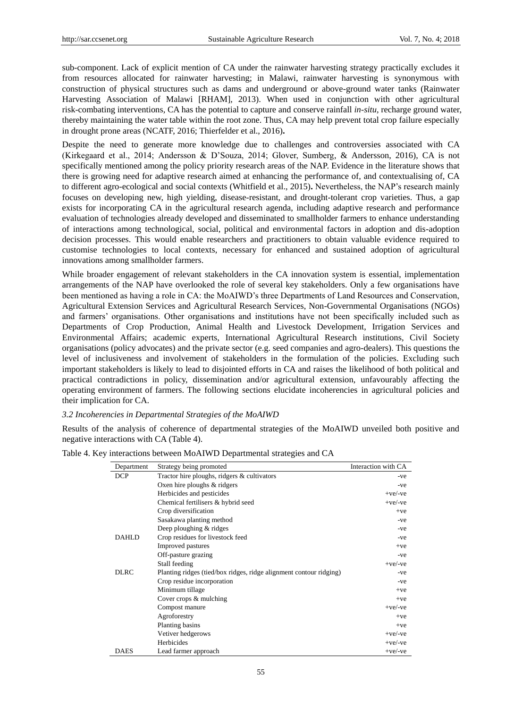sub-component. Lack of explicit mention of CA under the rainwater harvesting strategy practically excludes it from resources allocated for rainwater harvesting; in Malawi, rainwater harvesting is synonymous with construction of physical structures such as dams and underground or above-ground water tanks (Rainwater Harvesting Association of Malawi [RHAM], 2013). When used in conjunction with other agricultural risk-combating interventions, CA has the potential to capture and conserve rainfall *in-situ*, recharge ground water, thereby maintaining the water table within the root zone. Thus, CA may help prevent total crop failure especially in drought prone areas (NCATF, 2016; Thierfelder et al., 2016)**.**

Despite the need to generate more knowledge due to challenges and controversies associated with CA (Kirkegaard et al., 2014; Andersson & D"Souza, 2014; Glover, Sumberg, & Andersson, 2016), CA is not specifically mentioned among the policy priority research areas of the NAP. Evidence in the literature shows that there is growing need for adaptive research aimed at enhancing the performance of, and contextualising of, CA to different agro-ecological and social contexts (Whitfield et al., 2015)**.** Nevertheless, the NAP"s research mainly focuses on developing new, high yielding, disease-resistant, and drought-tolerant crop varieties. Thus, a gap exists for incorporating CA in the agricultural research agenda, including adaptive research and performance evaluation of technologies already developed and disseminated to smallholder farmers to enhance understanding of interactions among technological, social, political and environmental factors in adoption and dis-adoption decision processes. This would enable researchers and practitioners to obtain valuable evidence required to customise technologies to local contexts, necessary for enhanced and sustained adoption of agricultural innovations among smallholder farmers.

While broader engagement of relevant stakeholders in the CA innovation system is essential, implementation arrangements of the NAP have overlooked the role of several key stakeholders. Only a few organisations have been mentioned as having a role in CA: the MoAIWD"s three Departments of Land Resources and Conservation, Agricultural Extension Services and Agricultural Research Services, Non-Governmental Organisations (NGOs) and farmers" organisations. Other organisations and institutions have not been specifically included such as Departments of Crop Production, Animal Health and Livestock Development, Irrigation Services and Environmental Affairs; academic experts, International Agricultural Research institutions, Civil Society organisations (policy advocates) and the private sector (e.g. seed companies and agro-dealers). This questions the level of inclusiveness and involvement of stakeholders in the formulation of the policies. Excluding such important stakeholders is likely to lead to disjointed efforts in CA and raises the likelihood of both political and practical contradictions in policy, dissemination and/or agricultural extension, unfavourably affecting the operating environment of farmers. The following sections elucidate incoherencies in agricultural policies and their implication for CA.

#### *3.2 Incoherencies in Departmental Strategies of the MoAIWD*

Results of the analysis of coherence of departmental strategies of the MoAIWD unveiled both positive and negative interactions with CA (Table 4).

| Department   | Strategy being promoted                                            | Interaction with CA |
|--------------|--------------------------------------------------------------------|---------------------|
| <b>DCP</b>   | Tractor hire ploughs, ridgers & cultivators                        | -ve                 |
|              | Oxen hire ploughs & ridgers                                        | -ve                 |
|              | Herbicides and pesticides                                          | $+ve/-ve$           |
|              | Chemical fertilisers & hybrid seed                                 | $+ve/-ve$           |
|              | Crop diversification                                               | $+ve$               |
|              | Sasakawa planting method                                           | -ve                 |
|              | Deep ploughing & ridges                                            | -ve                 |
| <b>DAHLD</b> | Crop residues for livestock feed                                   | -ve                 |
|              | Improved pastures                                                  | $+ve$               |
|              | Off-pasture grazing                                                | -ve                 |
|              | Stall feeding                                                      | $+ve/-ve$           |
| <b>DLRC</b>  | Planting ridges (tied/box ridges, ridge alignment contour ridging) | -ve                 |
|              | Crop residue incorporation                                         | -ve                 |
|              | Minimum tillage                                                    | $+ve$               |
|              | Cover crops & mulching                                             | $+ve$               |
|              | Compost manure                                                     | $+ve/$ -ve          |
|              | Agroforestry                                                       | $+ve$               |
|              | Planting basins                                                    | $+ve$               |
|              | Vetiver hedgerows                                                  | $+ve/$ -ve          |
|              | Herbicides                                                         | $+ve/-ve$           |
| <b>DAES</b>  | Lead farmer approach                                               | $+ve/-ve$           |

Table 4. Key interactions between MoAIWD Departmental strategies and CA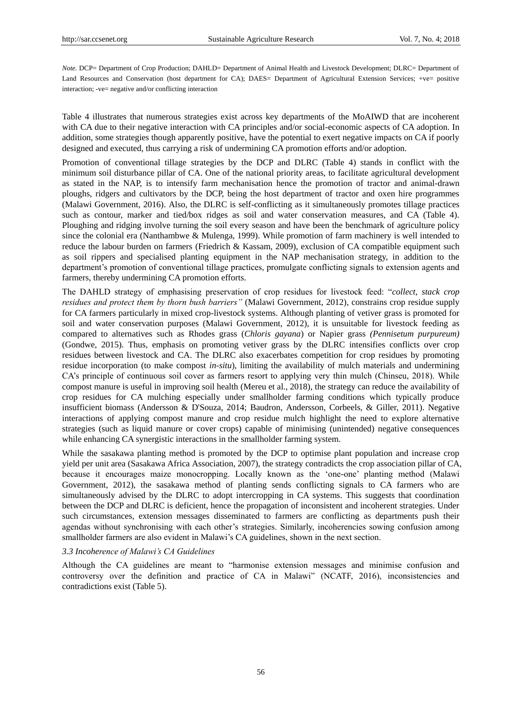*Note.* DCP= Department of Crop Production; DAHLD= Department of Animal Health and Livestock Development; DLRC= Department of Land Resources and Conservation (host department for CA); DAES= Department of Agricultural Extension Services; +ve= positive interaction; -ve= negative and/or conflicting interaction

Table 4 illustrates that numerous strategies exist across key departments of the MoAIWD that are incoherent with CA due to their negative interaction with CA principles and/or social-economic aspects of CA adoption. In addition, some strategies though apparently positive, have the potential to exert negative impacts on CA if poorly designed and executed, thus carrying a risk of undermining CA promotion efforts and/or adoption.

Promotion of conventional tillage strategies by the DCP and DLRC (Table 4) stands in conflict with the minimum soil disturbance pillar of CA. One of the national priority areas, to facilitate agricultural development as stated in the NAP, is to intensify farm mechanisation hence the promotion of tractor and animal-drawn ploughs, ridgers and cultivators by the DCP, being the host department of tractor and oxen hire programmes (Malawi Government, 2016). Also, the DLRC is self-conflicting as it simultaneously promotes tillage practices such as contour, marker and tied/box ridges as soil and water conservation measures, and CA (Table 4). Ploughing and ridging involve turning the soil every season and have been the benchmark of agriculture policy since the colonial era (Nanthambwe & Mulenga, 1999). While promotion of farm machinery is well intended to reduce the labour burden on farmers (Friedrich & Kassam, 2009), exclusion of CA compatible equipment such as soil rippers and specialised planting equipment in the NAP mechanisation strategy, in addition to the department"s promotion of conventional tillage practices, promulgate conflicting signals to extension agents and farmers, thereby undermining CA promotion efforts.

The DAHLD strategy of emphasising preservation of crop residues for livestock feed: "*collect, stack crop residues and protect them by thorn bush barriers"* (Malawi Government, 2012), constrains crop residue supply for CA farmers particularly in mixed crop-livestock systems. Although planting of vetiver grass is promoted for soil and water conservation purposes (Malawi Government, 2012), it is unsuitable for livestock feeding as compared to alternatives such as Rhodes grass (*Chloris gayana*) or Napier grass *(Pennisetum purpureum)* (Gondwe, 2015). Thus, emphasis on promoting vetiver grass by the DLRC intensifies conflicts over crop residues between livestock and CA. The DLRC also exacerbates competition for crop residues by promoting residue incorporation (to make compost *in-situ*), limiting the availability of mulch materials and undermining CA"s principle of continuous soil cover as farmers resort to applying very thin mulch (Chinseu, 2018). While compost manure is useful in improving soil health (Mereu et al., 2018), the strategy can reduce the availability of crop residues for CA mulching especially under smallholder farming conditions which typically produce insufficient biomass (Andersson & D'Souza, 2014; Baudron, Andersson, Corbeels, & Giller, 2011). Negative interactions of applying compost manure and crop residue mulch highlight the need to explore alternative strategies (such as liquid manure or cover crops) capable of minimising (unintended) negative consequences while enhancing CA synergistic interactions in the smallholder farming system.

While the sasakawa planting method is promoted by the DCP to optimise plant population and increase crop yield per unit area (Sasakawa Africa Association, 2007), the strategy contradicts the crop association pillar of CA, because it encourages maize monocropping. Locally known as the "one-one" planting method (Malawi Government, 2012), the sasakawa method of planting sends conflicting signals to CA farmers who are simultaneously advised by the DLRC to adopt intercropping in CA systems. This suggests that coordination between the DCP and DLRC is deficient, hence the propagation of inconsistent and incoherent strategies. Under such circumstances, extension messages disseminated to farmers are conflicting as departments push their agendas without synchronising with each other"s strategies. Similarly, incoherencies sowing confusion among smallholder farmers are also evident in Malawi's CA guidelines, shown in the next section.

#### *3.3 Incoherence of Malawi's CA Guidelines*

Although the CA guidelines are meant to "harmonise extension messages and minimise confusion and controversy over the definition and practice of CA in Malawi" (NCATF, 2016), inconsistencies and contradictions exist (Table 5).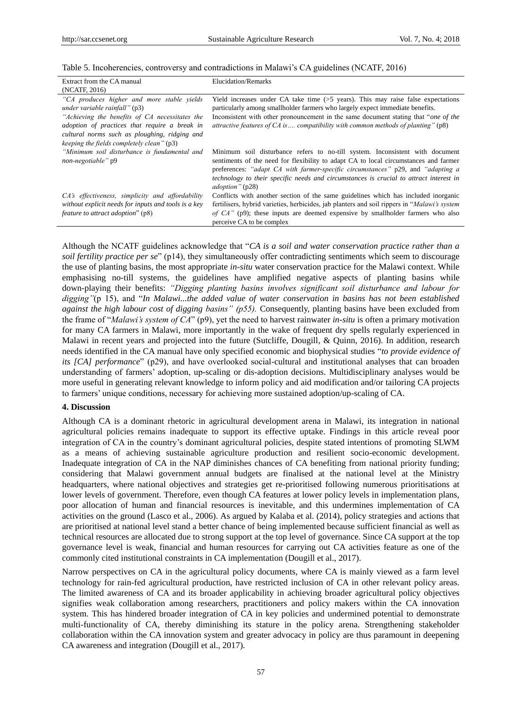|  |  |  | Table 5. Incoherencies, controversy and contradictions in Malawi's CA guidelines (NCATF, 2016) |
|--|--|--|------------------------------------------------------------------------------------------------|
|  |  |  |                                                                                                |

| Extract from the CA manual                                                                                                                                                                    | Elucidation/Remarks                                                                                                                                                                                                                                                                                                                                                           |
|-----------------------------------------------------------------------------------------------------------------------------------------------------------------------------------------------|-------------------------------------------------------------------------------------------------------------------------------------------------------------------------------------------------------------------------------------------------------------------------------------------------------------------------------------------------------------------------------|
| (NCATF, 2016)                                                                                                                                                                                 |                                                                                                                                                                                                                                                                                                                                                                               |
| "CA produces higher and more stable yields<br>under variable rainfall" (p3)                                                                                                                   | Yield increases under CA take time $(55 \text{ years})$ . This may raise false expectations<br>particularly among smallholder farmers who largely expect immediate benefits.                                                                                                                                                                                                  |
| "Achieving the benefits of CA necessitates the<br>adoption of practices that require a break in<br>cultural norms such as ploughing, ridging and<br>keeping the fields completely clean" (p3) | Inconsistent with other pronouncement in the same document stating that "one of the<br>attractive features of $CA$ is compatibility with common methods of planting" $(p8)$                                                                                                                                                                                                   |
| "Minimum soil disturbance is fundamental and<br>non-negotiable" p9                                                                                                                            | Minimum soil disturbance refers to no-till system. Inconsistent with document<br>sentiments of the need for flexibility to adapt CA to local circumstances and farmer<br>preferences: "adapt CA with farmer-specific circumstances" p29, and "adapting a<br>technology to their specific needs and circumstances is crucial to attract interest in<br><i>adoption</i> " (p28) |
| CA's effectiveness, simplicity and affordability<br>without explicit needs for inputs and tools is a key<br>feature to attract adoption" (p8)                                                 | Conflicts with another section of the same guidelines which has included inorganic<br>fertilisers, hybrid varieties, herbicides, jab planters and soil rippers in " <i>Malawi's system</i><br>of $CA$ " (p9); these inputs are deemed expensive by smallholder farmers who also<br>perceive CA to be complex                                                                  |

Although the NCATF guidelines acknowledge that "*CA is a soil and water conservation practice rather than a soil fertility practice per se*" (p14), they simultaneously offer contradicting sentiments which seem to discourage the use of planting basins, the most appropriate *in-situ* water conservation practice for the Malawi context. While emphasising no-till systems, the guidelines have amplified negative aspects of planting basins while down-playing their benefits: *"Digging planting basins involves significant soil disturbance and labour for digging"*(p 15), and "*In Malawi...the added value of water conservation in basins has not been established against the high labour cost of digging basins" (p55).* Consequently, planting basins have been excluded from the frame of "*Malawi's system of CA*" (p9), yet the need to harvest rainwater *in-situ* is often a primary motivation for many CA farmers in Malawi*,* more importantly in the wake of frequent dry spells regularly experienced in Malawi in recent years and projected into the future (Sutcliffe, Dougill, & Quinn, 2016). In addition, research needs identified in the CA manual have only specified economic and biophysical studies "*to provide evidence of its [CA] performance*" (p29), and have overlooked social-cultural and institutional analyses that can broaden understanding of farmers" adoption, up-scaling or dis-adoption decisions. Multidisciplinary analyses would be more useful in generating relevant knowledge to inform policy and aid modification and/or tailoring CA projects to farmers" unique conditions, necessary for achieving more sustained adoption/up-scaling of CA.

## **4. Discussion**

Although CA is a dominant rhetoric in agricultural development arena in Malawi, its integration in national agricultural policies remains inadequate to support its effective uptake. Findings in this article reveal poor integration of CA in the country"s dominant agricultural policies, despite stated intentions of promoting SLWM as a means of achieving sustainable agriculture production and resilient socio-economic development. Inadequate integration of CA in the NAP diminishes chances of CA benefiting from national priority funding; considering that Malawi government annual budgets are finalised at the national level at the Ministry headquarters, where national objectives and strategies get re-prioritised following numerous prioritisations at lower levels of government. Therefore, even though CA features at lower policy levels in implementation plans, poor allocation of human and financial resources is inevitable, and this undermines implementation of CA activities on the ground (Lasco et al., 2006). As argued by Kalaba et al. (2014), policy strategies and actions that are prioritised at national level stand a better chance of being implemented because sufficient financial as well as technical resources are allocated due to strong support at the top level of governance. Since CA support at the top governance level is weak, financial and human resources for carrying out CA activities feature as one of the commonly cited institutional constraints in CA implementation (Dougill et al., 2017).

Narrow perspectives on CA in the agricultural policy documents, where CA is mainly viewed as a farm level technology for rain-fed agricultural production, have restricted inclusion of CA in other relevant policy areas. The limited awareness of CA and its broader applicability in achieving broader agricultural policy objectives signifies weak collaboration among researchers, practitioners and policy makers within the CA innovation system. This has hindered broader integration of CA in key policies and undermined potential to demonstrate multi-functionality of CA, thereby diminishing its stature in the policy arena. Strengthening stakeholder collaboration within the CA innovation system and greater advocacy in policy are thus paramount in deepening CA awareness and integration (Dougill et al., 2017).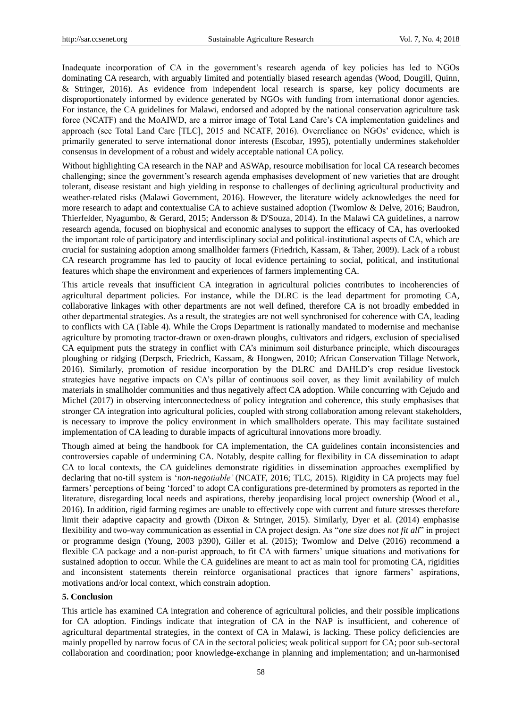Inadequate incorporation of CA in the government's research agenda of key policies has led to NGOs dominating CA research, with arguably limited and potentially biased research agendas (Wood, Dougill, Quinn, & Stringer, 2016). As evidence from independent local research is sparse, key policy documents are disproportionately informed by evidence generated by NGOs with funding from international donor agencies. For instance, the CA guidelines for Malawi, endorsed and adopted by the national conservation agriculture task force (NCATF) and the MoAIWD, are a mirror image of Total Land Care's CA implementation guidelines and approach (see Total Land Care [TLC], 2015 and NCATF, 2016). Overreliance on NGOs" evidence, which is primarily generated to serve international donor interests (Escobar, 1995), potentially undermines stakeholder consensus in development of a robust and widely acceptable national CA policy.

Without highlighting CA research in the NAP and ASWAp, resource mobilisation for local CA research becomes challenging; since the government"s research agenda emphasises development of new varieties that are drought tolerant, disease resistant and high yielding in response to challenges of declining agricultural productivity and weather-related risks (Malawi Government, 2016). However, the literature widely acknowledges the need for more research to adapt and contextualise CA to achieve sustained adoption (Twomlow & Delve, 2016; Baudron, Thierfelder, Nyagumbo, & Gerard, 2015; Andersson & D'Souza, 2014). In the Malawi CA guidelines, a narrow research agenda, focused on biophysical and economic analyses to support the efficacy of CA, has overlooked the important role of participatory and interdisciplinary social and political-institutional aspects of CA, which are crucial for sustaining adoption among smallholder farmers (Friedrich, Kassam, & Taher, 2009). Lack of a robust CA research programme has led to paucity of local evidence pertaining to social, political, and institutional features which shape the environment and experiences of farmers implementing CA.

This article reveals that insufficient CA integration in agricultural policies contributes to incoherencies of agricultural department policies. For instance, while the DLRC is the lead department for promoting CA, collaborative linkages with other departments are not well defined, therefore CA is not broadly embedded in other departmental strategies. As a result, the strategies are not well synchronised for coherence with CA, leading to conflicts with CA (Table 4). While the Crops Department is rationally mandated to modernise and mechanise agriculture by promoting tractor-drawn or oxen-drawn ploughs, cultivators and ridgers, exclusion of specialised CA equipment puts the strategy in conflict with CA"s minimum soil disturbance principle, which discourages ploughing or ridging (Derpsch, Friedrich, Kassam, & Hongwen, 2010; African Conservation Tillage Network, 2016). Similarly, promotion of residue incorporation by the DLRC and DAHLD"s crop residue livestock strategies have negative impacts on CA"s pillar of continuous soil cover, as they limit availability of mulch materials in smallholder communities and thus negatively affect CA adoption. While concurring with Cejudo and Michel (2017) in observing interconnectedness of policy integration and coherence, this study emphasises that stronger CA integration into agricultural policies, coupled with strong collaboration among relevant stakeholders, is necessary to improve the policy environment in which smallholders operate. This may facilitate sustained implementation of CA leading to durable impacts of agricultural innovations more broadly.

Though aimed at being the handbook for CA implementation, the CA guidelines contain inconsistencies and controversies capable of undermining CA. Notably, despite calling for flexibility in CA dissemination to adapt CA to local contexts, the CA guidelines demonstrate rigidities in dissemination approaches exemplified by declaring that no-till system is "*non-negotiable'* (NCATF, 2016; TLC, 2015). Rigidity in CA projects may fuel farmers" perceptions of being "forced" to adopt CA configurations pre-determined by promoters as reported in the literature, disregarding local needs and aspirations, thereby jeopardising local project ownership (Wood et al., 2016). In addition, rigid farming regimes are unable to effectively cope with current and future stresses therefore limit their adaptive capacity and growth (Dixon & Stringer, 2015). Similarly, Dyer et al. (2014) emphasise flexibility and two-way communication as essential in CA project design. As "*one size does not fit all*" in project or programme design (Young, 2003 p390), Giller et al. (2015); Twomlow and Delve (2016) recommend a flexible CA package and a non-purist approach, to fit CA with farmers" unique situations and motivations for sustained adoption to occur. While the CA guidelines are meant to act as main tool for promoting CA, rigidities and inconsistent statements therein reinforce organisational practices that ignore farmers" aspirations, motivations and/or local context, which constrain adoption.

#### **5. Conclusion**

This article has examined CA integration and coherence of agricultural policies, and their possible implications for CA adoption. Findings indicate that integration of CA in the NAP is insufficient, and coherence of agricultural departmental strategies, in the context of CA in Malawi, is lacking. These policy deficiencies are mainly propelled by narrow focus of CA in the sectoral policies; weak political support for CA; poor sub-sectoral collaboration and coordination; poor knowledge-exchange in planning and implementation; and un-harmonised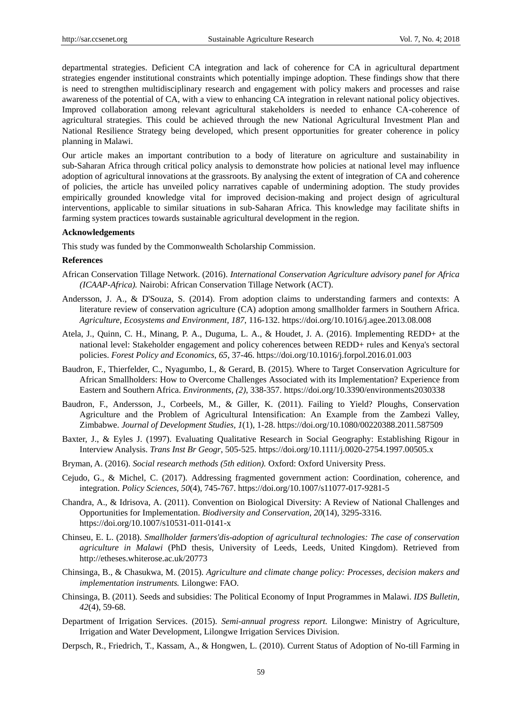departmental strategies. Deficient CA integration and lack of coherence for CA in agricultural department strategies engender institutional constraints which potentially impinge adoption. These findings show that there is need to strengthen multidisciplinary research and engagement with policy makers and processes and raise awareness of the potential of CA, with a view to enhancing CA integration in relevant national policy objectives. Improved collaboration among relevant agricultural stakeholders is needed to enhance CA-coherence of agricultural strategies. This could be achieved through the new National Agricultural Investment Plan and National Resilience Strategy being developed, which present opportunities for greater coherence in policy planning in Malawi.

Our article makes an important contribution to a body of literature on agriculture and sustainability in sub-Saharan Africa through critical policy analysis to demonstrate how policies at national level may influence adoption of agricultural innovations at the grassroots. By analysing the extent of integration of CA and coherence of policies, the article has unveiled policy narratives capable of undermining adoption. The study provides empirically grounded knowledge vital for improved decision-making and project design of agricultural interventions, applicable to similar situations in sub-Saharan Africa. This knowledge may facilitate shifts in farming system practices towards sustainable agricultural development in the region.

#### **Acknowledgements**

This study was funded by the Commonwealth Scholarship Commission.

#### **References**

- African Conservation Tillage Network. (2016). *International Conservation Agriculture advisory panel for Africa (ICAAP-Africa).* Nairobi: African Conservation Tillage Network (ACT).
- Andersson, J. A., & D'Souza, S. (2014). From adoption claims to understanding farmers and contexts: A literature review of conservation agriculture (CA) adoption among smallholder farmers in Southern Africa. *Agriculture, Ecosystems and Environment, 187*, 116-132. https://doi.org/10.1016/j.agee.2013.08.008
- Atela, J., Quinn, C. H., Minang, P. A., Duguma, L. A., & Houdet, J. A. (2016). Implementing REDD+ at the national level: Stakeholder engagement and policy coherences between REDD+ rules and Kenya's sectoral policies. *Forest Policy and Economics, 65*, 37-46. https://doi.org/10.1016/j.forpol.2016.01.003
- Baudron, F., Thierfelder, C., Nyagumbo, I., & Gerard, B. (2015). Where to Target Conservation Agriculture for African Smallholders: How to Overcome Challenges Associated with its Implementation? Experience from Eastern and Southern Africa. *Environments, (2)*, 338-357. https://doi.org/10.3390/environments2030338
- Baudron, F., Andersson, J., Corbeels, M., & Giller, K. (2011). Failing to Yield? Ploughs, Conservation Agriculture and the Problem of Agricultural Intensification: An Example from the Zambezi Valley, Zimbabwe. *Journal of Development Studies, 1*(1), 1-28. https://doi.org/10.1080/00220388.2011.587509
- Baxter, J., & Eyles J. (1997). Evaluating Qualitative Research in Social Geography: Establishing Rigour in Interview Analysis. *Trans Inst Br Geogr*, 505-525. https://doi.org/10.1111/j.0020-2754.1997.00505.x
- Bryman, A. (2016). *Social research methods (5th edition).* Oxford: Oxford University Press.
- Cejudo, G., & Michel, C. (2017). Addressing fragmented government action: Coordination, coherence, and integration. *Policy Sciences, 50*(4), 745-767. https://doi.org/10.1007/s11077-017-9281-5
- Chandra, A., & Idrisova, A. (2011). Convention on Biological Diversity: A Review of National Challenges and Opportunities for Implementation. *Biodiversity and Conservation, 20*(14), 3295-3316. https://doi.org/10.1007/s10531-011-0141-x
- Chinseu, E. L. (2018). *Smallholder farmers'dis-adoption of agricultural technologies: The case of conservation agriculture in Malawi* (PhD thesis, University of Leeds, Leeds, United Kingdom). Retrieved from http://etheses.whiterose.ac.uk/20773
- Chinsinga, B., & Chasukwa, M. (2015). *Agriculture and climate change policy: Processes, decision makers and implementation instruments.* Lilongwe: FAO.
- Chinsinga, B. (2011). Seeds and subsidies: The Political Economy of Input Programmes in Malawi. *IDS Bulletin, 42*(4), 59-68.
- Department of Irrigation Services. (2015). *Semi-annual progress report.* Lilongwe: Ministry of Agriculture, Irrigation and Water Development, Lilongwe Irrigation Services Division.
- Derpsch, R., Friedrich, T., Kassam, A., & Hongwen, L. (2010). Current Status of Adoption of No-till Farming in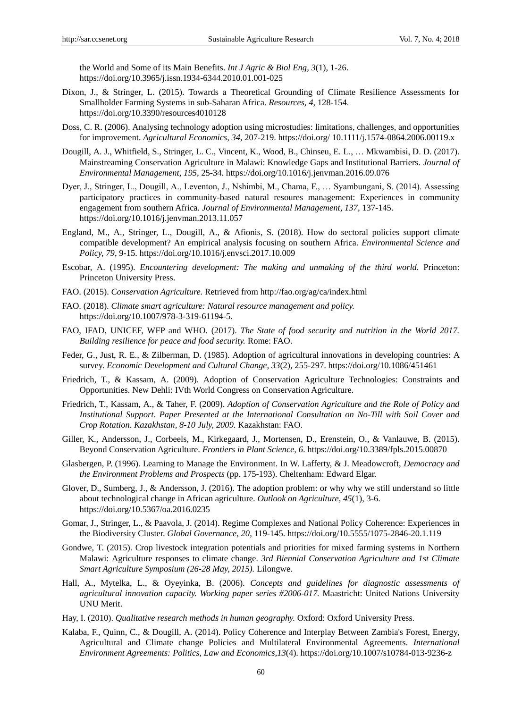the World and Some of its Main Benefits. *Int J Agric & Biol Eng, 3*(1), 1-26. https://doi.org/10.3965/j.issn.1934-6344.2010.01.001-025

- Dixon, J., & Stringer, L. (2015). Towards a Theoretical Grounding of Climate Resilience Assessments for Smallholder Farming Systems in sub-Saharan Africa. *Resources, 4*, 128-154. https://doi.org/10.3390/resources4010128
- Doss, C. R. (2006). Analysing technology adoption using microstudies: limitations, challenges, and opportunities for improvement. *Agricultural Economics, 34*, 207-219. https://doi.org/ 10.1111/j.1574-0864.2006.00119.x
- Dougill, A. J., Whitfield, S., Stringer, L. C., Vincent, K., Wood, B., Chinseu, E. L., … Mkwambisi, D. D. (2017). Mainstreaming Conservation Agriculture in Malawi: Knowledge Gaps and Institutional Barriers. *Journal of Environmental Management, 195*, 25-34. https://doi.org/10.1016/j.jenvman.2016.09.076
- Dyer, J., Stringer, L., Dougill, A., Leventon, J., Nshimbi, M., Chama, F., … Syambungani, S. (2014). Assessing participatory practices in community-based natural resoures management: Experiences in community engagement from southern Africa. *Journal of Environmental Management, 137*, 137-145. https://doi.org/10.1016/j.jenvman.2013.11.057
- England, M., A., Stringer, L., Dougill, A., & Afionis, S. (2018). How do sectoral policies support climate compatible development? An empirical analysis focusing on southern Africa. *Environmental Science and Policy, 79*, 9-15. https://doi.org/10.1016/j.envsci.2017.10.009
- Escobar, A. (1995). *Encountering development: The making and unmaking of the third world.* Princeton: Princeton University Press.
- FAO. (2015). *Conservation Agriculture.* Retrieved from http://fao.org/ag/ca/index.html
- FAO. (2018). *Climate smart agriculture: Natural resource management and policy.* https://doi.org/10.1007/978-3-319-61194-5.
- FAO, IFAD, UNICEF, WFP and WHO. (2017). *The State of food security and nutrition in the World 2017. Building resilience for peace and food security.* Rome: FAO.
- Feder, G., Just, R. E., & Zilberman, D. (1985). Adoption of agricultural innovations in developing countries: A survey. *Economic Development and Cultural Change, 33*(2), 255-297. https://doi.org/10.1086/451461
- Friedrich, T., & Kassam, A. (2009). Adoption of Conservation Agriculture Technologies: Constraints and Opportunities. New Dehli: IVth World Congress on Conservation Agriculture.
- Friedrich, T., Kassam, A., & Taher, F. (2009). *Adoption of Conservation Agriculture and the Role of Policy and Institutional Support. Paper Presented at the International Consultation on No-Till with Soil Cover and Crop Rotation. Kazakhstan, 8-10 July, 2009.* Kazakhstan: FAO.
- Giller, K., Andersson, J., Corbeels, M., Kirkegaard, J., Mortensen, D., Erenstein, O., & Vanlauwe, B. (2015). Beyond Conservation Agriculture. *Frontiers in Plant Science, 6*. https://doi.org/10.3389/fpls.2015.00870
- Glasbergen, P. (1996). Learning to Manage the Environment. In W. Lafferty, & J. Meadowcroft, *Democracy and the Environment Problems and Prospects* (pp. 175-193). Cheltenham: Edward Elgar.
- Glover, D., Sumberg, J., & Andersson, J. (2016). The adoption problem: or why why we still understand so little about technological change in African agriculture. *Outlook on Agriculture, 45*(1), 3-6. https://doi.org/10.5367/oa.2016.0235
- Gomar, J., Stringer, L., & Paavola, J. (2014). Regime Complexes and National Policy Coherence: Experiences in the Biodiversity Cluster. *Global Governance, 20*, 119-145. https://doi.org/10.5555/1075-2846-20.1.119
- Gondwe, T. (2015). Crop livestock integration potentials and priorities for mixed farming systems in Northern Malawi: Agriculture responses to climate change. *3rd Biennial Conservation Agriculture and 1st Climate Smart Agriculture Symposium (26-28 May, 2015).* Lilongwe.
- Hall, A., Mytelka, L., & Oyeyinka, B. (2006). *Concepts and guidelines for diagnostic assessments of agricultural innovation capacity. Working paper series #2006-017.* Maastricht: United Nations University UNU Merit.
- Hay, I. (2010). *Qualitative research methods in human geography.* Oxford: Oxford University Press.
- Kalaba, F., Quinn, C., & Dougill, A. (2014). Policy Coherence and Interplay Between Zambia's Forest, Energy, Agricultural and Climate change Policies and Multilateral Environmental Agreements. *International Environment Agreements: Politics, Law and Economics,13*(4). https://doi.org/10.1007/s10784-013-9236-z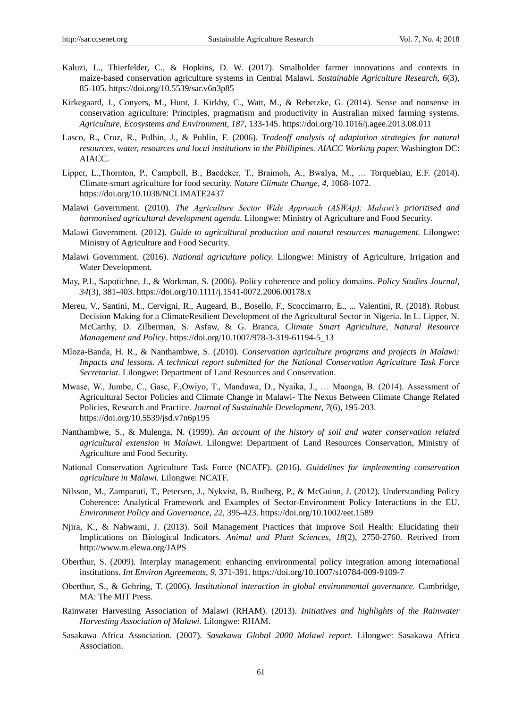- Kaluzi, L., Thierfelder, C., & Hopkins, D. W. (2017). Smalholder farmer innovations and contexts in maize-based conservation agriculture systems in Central Malawi. *Sustainable Agriculture Research, 6*(3), 85-105. https://doi.org/10.5539/sar.v6n3p85
- Kirkegaard, J., Conyers, M., Hunt, J. Kirkby, C., Watt, M., & Rebetzke, G. (2014). Sense and nonsense in conservation agriculture: Principles, pragmatism and productivity in Australian mixed farming systems. *Agriculture, Ecosystems and Environment, 187*, 133-145. https://doi.org/10.1016/j.agee.2013.08.011
- Lasco, R., Cruz, R., Pulhin, J., & Puhlin, F. (2006). *Tradeoff analysis of adaptation strategies for natural resources, water, resources and local institutions in the Phillipines. AIACC Working paper.* Washington DC: AIACC.
- Lipper, L.,Thornton, P., Campbell, B., Baedeker, T., Braimoh, A., Bwalya, M., … Torquebiau, E.F. (2014). Climate-smart agriculture for food security. *Nature Climate Change, 4*, 1068-1072. https://doi.org/10.1038/NCLIMATE2437
- Malawi Government. (2010). *The Agriculture Sector Wide Approach (ASWAp): Malawi's prioritised and harmonised agricultural development agenda.* Lilongwe: Ministry of Agriculture and Food Security.
- Malawi Government. (2012). *Guide to agricultural production and natural resources management.* Lilongwe: Ministry of Agriculture and Food Security.
- Malawi Government. (2016). *National agriculture policy.* Lilongwe: Ministry of Agriculture, Irrigation and Water Development.
- May, P.J., Sapotichne, J., & Workman, S. (2006). Policy coherence and policy domains. *Policy Studies Journal, 34*(3), 381-403. https://doi.org/10.1111/j.1541-0072.2006.00178.x
- Mereu, V., Santini, M., Cervigni, R., Augeard, B., Bosello, F., Scoccimarro, E., ... Valentini, R. (2018). Robust Decision Making for a ClimateResilient Development of the Agricultural Sector in Nigeria. In L. Lipper, N. McCarthy, D. Zilberman, S. Asfaw, & G. Branca, *Climate Smart Agriculture, Natural Resource Management and Policy*. https://doi.org/10.1007/978-3-319-61194-5\_13
- Mloza-Banda, H. R., & Nanthambwe, S. (2010). *Conservation agriculture programs and projects in Malawi: Impacts and lessons. A technical report submitted for the National Conservation Agriculture Task Force Secretariat.* Lilongwe: Department of Land Resources and Conservation.
- Mwase, W., Jumbe, C., Gasc, F.,Owiyo, T., Manduwa, D., Nyaika, J., … Maonga, B. (2014). Assessment of Agricultural Sector Policies and Climate Change in Malawi- The Nexus Between Climate Change Related Policies, Research and Practice. *Journal of Sustainable Development, 7*(6), 195-203. https://doi.org/10.5539/jsd.v7n6p195
- Nanthambwe, S., & Mulenga, N. (1999). *An account of the history of soil and water conservation related agricultural extension in Malawi.* Lilongwe: Department of Land Resources Conservation, Ministry of Agriculture and Food Security.
- National Conservation Agriculture Task Force (NCATF). (2016). *Guidelines for implementing conservation agriculture in Malawi.* Lilongwe: NCATF.
- Nilsson, M., Zamparuti, T., Petersen, J., Nykvist, B. Rudberg, P., & McGuinn, J. (2012). Understanding Policy Coherence: Analytical Framework and Examples of Sector-Environment Policy Interactions in the EU. *Environment Policy and Governance, 22*, 395-423. https://doi.org/10.1002/eet.1589
- Njira, K., & Nabwami, J. (2013). Soil Management Practices that improve Soil Health: Elucidating their Implications on Biological Indicators. *Animal and Plant Sciences, 18*(2), 2750-2760. Retrived from http://www.m.elewa.org/JAPS
- Oberthur, S. (2009). Interplay management: enhancing environmental policy integration among international institutions. *Int Environ Agreements, 9*, 371-391. https://doi.org/10.1007/s10784-009-9109-7
- Oberthur, S., & Gehring, T. (2006). *Institutional interaction in global environmental governance.* Cambridge, MA: The MIT Press.
- Rainwater Harvesting Association of Malawi (RHAM). (2013). *Initiatives and highlights of the Rainwater Harvesting Association of Malawi.* Lilongwe: RHAM.
- Sasakawa Africa Association. (2007). *Sasakawa Global 2000 Malawi report.* Lilongwe: Sasakawa Africa Association.